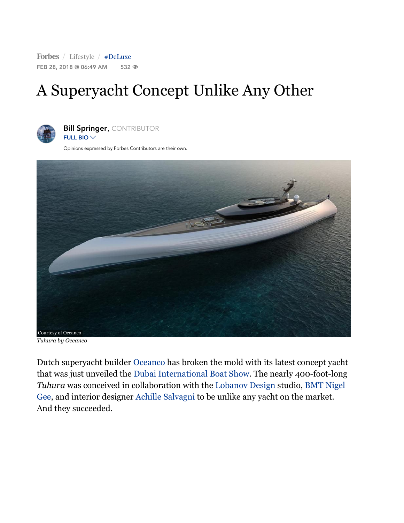Forbes / [Lifestyle](https://www.forbes.com/lifestyle) / [#DeLuxe](https://www.forbes.com/search/?substream=hashtags&q=DeLuxe) FEB 28, 2018 @ 06:49 AM 532 <sup>®</sup>

## A Superyacht Concept Unlike Any Other



**Bill [Springer](https://www.forbes.com/sites/billspringer/), CONTRIBUTOR** FULL BIO  $\vee$ 

Opinions expressed by Forbes Contributors are their own.



*Tuhura by Oceanco*

Dutch superyacht builder [Oceanco](https://www.oceancoyacht.com/en/) has broken the mold with its latest concept yacht that was just unveiled the [Dubai International](https://www.boatshowdubai.com/) Boat Show. The nearly 400-foot-long *Tuhura* was conceived [in collaboration with](http://www.bmtng.com/) the [Lobanov](https://www.lobanovdesign.com/) Design studio, BMT Nigel Gee, and interior designer [Achille Salvagni t](https://www.achillesalvagni.com/)o be unlike any yacht on the market. And they succeeded.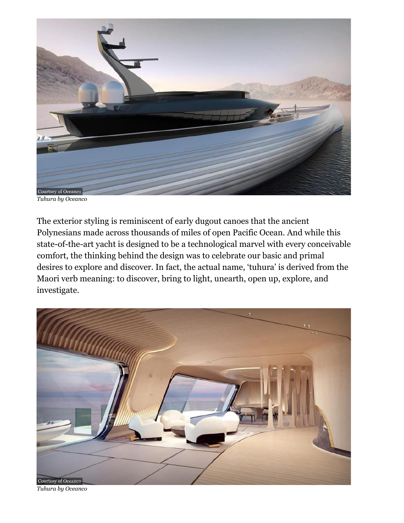

*Tuhura by Oceanco*

The exterior styling is reminiscent of early dugout canoes that the ancient Polynesians made across thousands of miles of open Pacific Ocean. And while this state-of-the-art yacht is designed to be a technological marvel with every conceivable comfort, the thinking behind the design was to celebrate our basic and primal desires to explore and discover. In fact, the actual name, 'tuhura' is derived from the Maori verb meaning: to discover, bring to light, unearth, open up, explore, and investigate.



*Tuhura by Oceanco*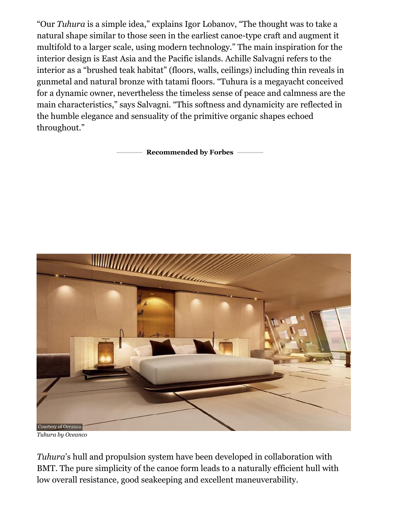"Our *Tuhura* is a simple idea," explains Igor Lobanov, "The thought was to take a natural shape similar to those seen in the earliest canoe-type craft and augment it multifold to a larger scale, using modern technology." The main inspiration for the interior design is East Asia and the Pacific islands. Achille Salvagni refers to the interior as a "brushed teak habitat" (floors, walls, ceilings) including thin reveals in gunmetal and natural bronze with tatami floors. "Tuhura is a megayacht conceived for a dynamic owner, nevertheless the timeless sense of peace and calmness are the main characteristics," says Salvagni. "This softness and dynamicity are reflected in the humble elegance and sensuality of the primitive organic shapes echoed throughout."

**Recommended by Forbes**



*Tuhura by Oceanco*

*Tuhura*'s hull and propulsion system have been developed in collaboration with BMT. The pure simplicity of the canoe form leads to a naturally efficient hull with low overall resistance, good seakeeping and excellent maneuverability.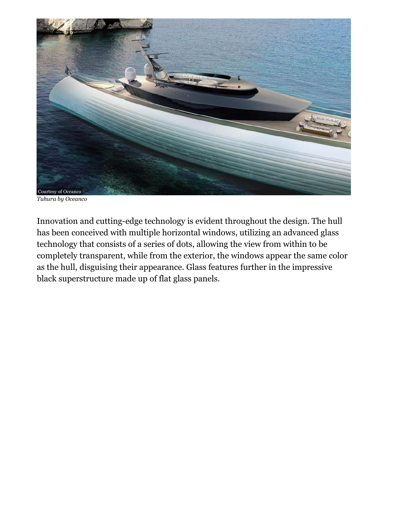

*Tuhura by Oceanco*

Innovation and cutting-edge technology is evident throughout the design. The hull has been conceived with multiple horizontal windows, utilizing an advanced glass technology that consists of a series of dots, allowing the view from within to be completely transparent, while from the exterior, the windows appear the same color as the hull, disguising their appearance. Glass features further in the impressive black superstructure made up of flat glass panels.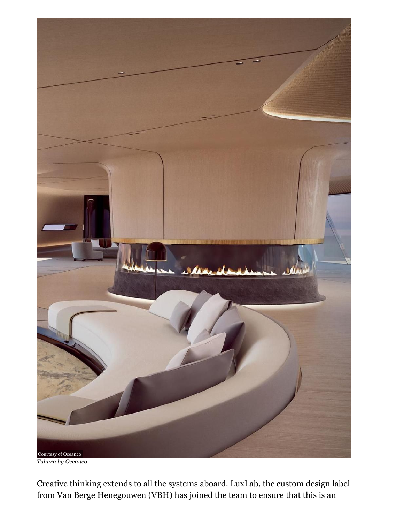

*Tuhura by Oceanco*

Creative thinking extends to all the systems aboard. LuxLab, the custom design label from Van Berge Henegouwen (VBH) has joined the team to ensure that this is an